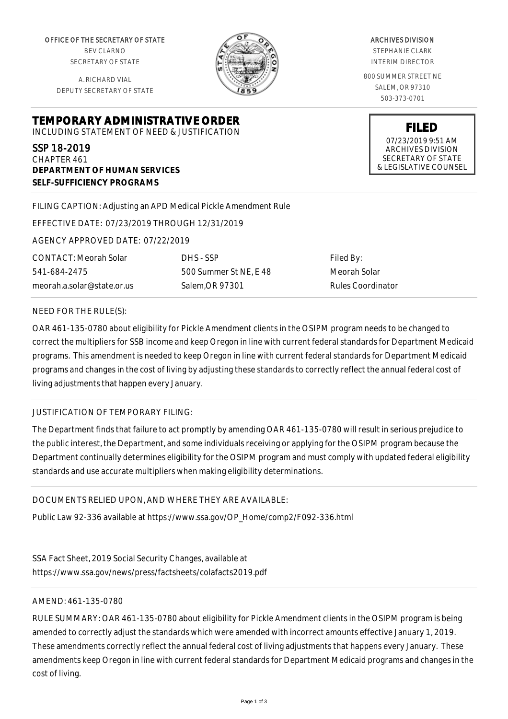OFFICE OF THE SECRETARY OF STATE BEV CLARNO SECRETARY OF STATE

A. RICHARD VIAL DEPUTY SECRETARY OF STATE

**DEPARTMENT OF HUMAN SERVICES**

**SELF-SUFFICIENCY PROGRAMS**



#### ARCHIVES DIVISION

STEPHANIE CLARK INTERIM DIRECTOR

800 SUMMER STREET NE SALEM, OR 97310 503-373-0701

> **FILED** 07/23/2019 9:51 AM ARCHIVES DIVISION SECRETARY OF STATE & LEGISLATIVE COUNSEL

FILING CAPTION: Adjusting an APD Medical Pickle Amendment Rule

EFFECTIVE DATE: 07/23/2019 THROUGH 12/31/2019

**TEMPORARY ADMINISTRATIVE ORDER** INCLUDING STATEMENT OF NEED & JUSTIFICATION

AGENCY APPROVED DATE: 07/22/2019

CONTACT: Meorah Solar 541-684-2475 meorah.a.solar@state.or.us

SSP 18-2019 CHAPTER 461

> DHS - SSP 500 Summer St NE, E 48 Salem,OR 97301

Filed By: Meorah Solar Rules Coordinator

#### NEED FOR THE RULE(S):

OAR 461-135-0780 about eligibility for Pickle Amendment clients in the OSIPM program needs to be changed to correct the multipliers for SSB income and keep Oregon in line with current federal standards for Department Medicaid programs. This amendment is needed to keep Oregon in line with current federal standards for Department Medicaid programs and changes in the cost of living by adjusting these standards to correctly reflect the annual federal cost of living adjustments that happen every January.

### JUSTIFICATION OF TEMPORARY FILING:

The Department finds that failure to act promptly by amending OAR 461-135-0780 will result in serious prejudice to the public interest, the Department, and some individuals receiving or applying for the OSIPM program because the Department continually determines eligibility for the OSIPM program and must comply with updated federal eligibility standards and use accurate multipliers when making eligibility determinations.

### DOCUMENTS RELIED UPON, AND WHERE THEY ARE AVAILABLE:

Public Law 92-336 available at https://www.ssa.gov/OP\_Home/comp2/F092-336.html

SSA Fact Sheet, 2019 Social Security Changes, available at https://www.ssa.gov/news/press/factsheets/colafacts2019.pdf

### AMEND: 461-135-0780

RULE SUMMARY: OAR 461-135-0780 about eligibility for Pickle Amendment clients in the OSIPM program is being amended to correctly adjust the standards which were amended with incorrect amounts effective January 1, 2019. These amendments correctly reflect the annual federal cost of living adjustments that happens every January. These amendments keep Oregon in line with current federal standards for Department Medicaid programs and changes in the cost of living.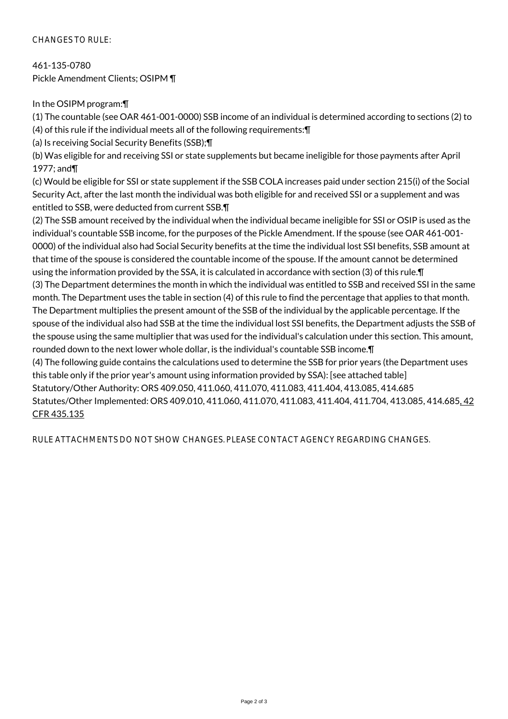# CHANGES TO RULE:

461-135-0780 Pickle Amendment Clients; OSIPM ¶

## In the OSIPM program:¶

(1) The countable (see OAR 461-001-0000) SSB income of an individual is determined according to sections (2) to (4) of this rule if the individual meets all of the following requirements:¶

(a) Is receiving Social Security Benefits (SSB);¶

(b) Was eligible for and receiving SSI or state supplements but became ineligible for those payments after April 1977; and¶

(c) Would be eligible for SSI or state supplement if the SSB COLA increases paid under section 215(i) of the Social Security Act, after the last month the individual was both eligible for and received SSI or a supplement and was entitled to SSB, were deducted from current SSB.¶

(2) The SSB amount received by the individual when the individual became ineligible for SSI or OSIP is used as the individual's countable SSB income, for the purposes of the Pickle Amendment. If the spouse (see OAR 461-001- 0000) of the individual also had Social Security benefits at the time the individual lost SSI benefits, SSB amount at that time of the spouse is considered the countable income of the spouse. If the amount cannot be determined using the information provided by the SSA, it is calculated in accordance with section (3) of this rule.¶ (3) The Department determines the month in which the individual was entitled to SSB and received SSI in the same month. The Department uses the table in section (4) of this rule to find the percentage that applies to that month. The Department multiplies the present amount of the SSB of the individual by the applicable percentage. If the spouse of the individual also had SSB at the time the individual lost SSI benefits, the Department adjusts the SSB of the spouse using the same multiplier that was used for the individual's calculation under this section. This amount, rounded down to the next lower whole dollar, is the individual's countable SSB income.¶ (4) The following guide contains the calculations used to determine the SSB for prior years (the Department uses this table only if the prior year's amount using information provided by SSA): [see attached table] Statutory/Other Authority: ORS 409.050, 411.060, 411.070, 411.083, 411.404, 413.085, 414.685 Statutes/Other Implemented: ORS 409.010, 411.060, 411.070, 411.083, 411.404, 411.704, 413.085, 414.685, 42

CFR 435.135

RULE ATTACHMENTS DO NOT SHOW CHANGES. PLEASE CONTACT AGENCY REGARDING CHANGES.